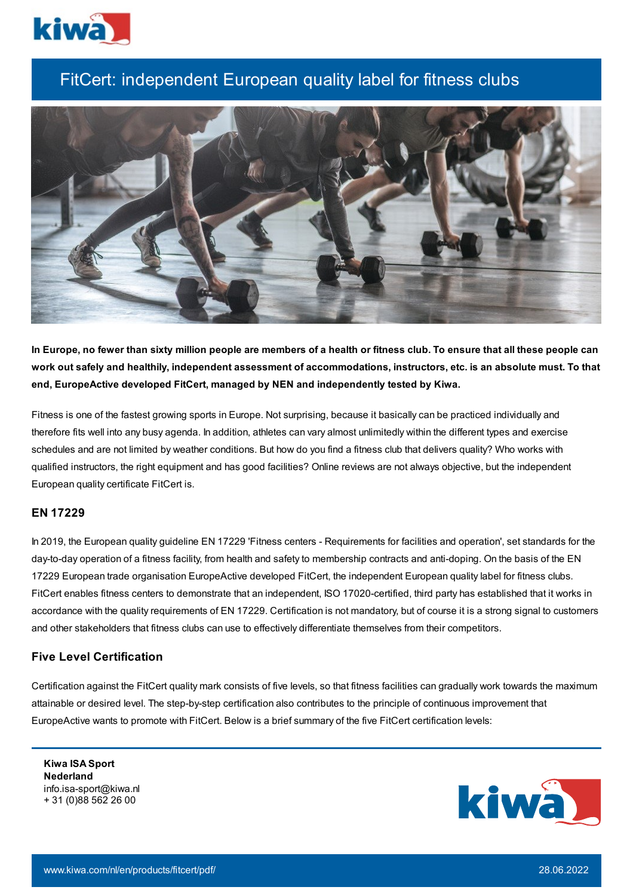

# FitCert: independent European quality label for fitness clubs



In Europe, no fewer than sixty million people are members of a health or fitness club. To ensure that all these people can work out safely and healthily, independent assessment of accommodations, instructors, etc. is an absolute must. To that **end, EuropeActive developed FitCert, managed by NEN and independently tested by Kiwa.**

Fitness is one of the fastest growing sports in Europe. Not surprising, because it basically can be practiced individually and therefore fits well into any busy agenda. In addition, athletes can vary almost unlimitedly within the different types and exercise schedules and are not limited by weather conditions. But how do you find a fitness club that delivers quality? Who works with qualified instructors, the right equipment and has good facilities? Online reviews are not always objective, but the independent European quality certificate FitCert is.

## **EN 17229**

In 2019, the European quality guideline EN 17229 'Fitness centers - Requirements for facilities and operation', set standards for the day-to-day operation of a fitness facility, from health and safety to membership contracts and anti-doping. On the basis of the EN 17229 European trade organisation EuropeActive developed FitCert, the independent European quality label for fitness clubs. FitCert enables fitness centers to demonstrate that an independent, ISO 17020-certified, third party has established that it works in accordance with the quality requirements of EN 17229. Certification is not mandatory, but of course it is a strong signal to customers and other stakeholders that fitness clubs can use to effectively differentiate themselves from their competitors.

## **Five Level Certification**

Certification against the FitCert quality mark consists of five levels, so that fitness facilities can gradually work towards the maximum attainable or desired level. The step-by-step certification also contributes to the principle of continuous improvement that EuropeActive wants to promote with FitCert. Below is a brief summary of the five FitCert certification levels:

**Kiwa ISA Sport Nederland** info.isa-sport@kiwa.nl + 31 (0)88 562 26 00